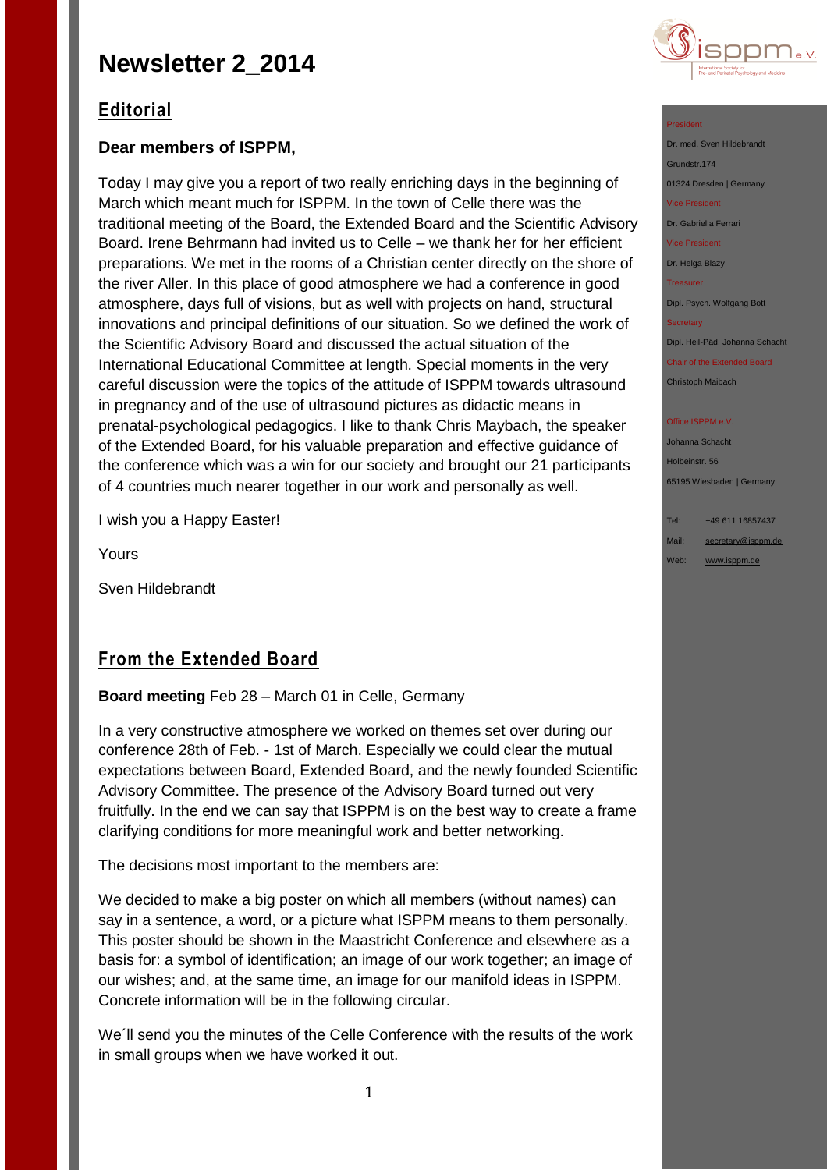

## **Editorial**

## **Dear members of ISPPM,**

Today I may give you a report of two really enriching days in the beginning of March which meant much for ISPPM. In the town of Celle there was the traditional meeting of the Board, the Extended Board and the Scientific Advisory Board. Irene Behrmann had invited us to Celle – we thank her for her efficient preparations. We met in the rooms of a Christian center directly on the shore of the river Aller. In this place of good atmosphere we had a conference in good atmosphere, days full of visions, but as well with projects on hand, structural innovations and principal definitions of our situation. So we defined the work of the Scientific Advisory Board and discussed the actual situation of the International Educational Committee at length. Special moments in the very careful discussion were the topics of the attitude of ISPPM towards ultrasound in pregnancy and of the use of ultrasound pictures as didactic means in prenatal-psychological pedagogics. I like to thank Chris Maybach, the speaker of the Extended Board, for his valuable preparation and effective guidance of the conference which was a win for our society and brought our 21 participants of 4 countries much nearer together in our work and personally as well.

I wish you a Happy Easter!

Yours

Sven Hildebrandt

## **From the Extended Board**

**Board meeting** Feb 28 – March 01 in Celle, Germany

In a very constructive atmosphere we worked on themes set over during our conference 28th of Feb. - 1st of March. Especially we could clear the mutual expectations between Board, Extended Board, and the newly founded Scientific Advisory Committee. The presence of the Advisory Board turned out very fruitfully. In the end we can say that ISPPM is on the best way to create a frame clarifying conditions for more meaningful work and better networking.

The decisions most important to the members are:

We decided to make a big poster on which all members (without names) can say in a sentence, a word, or a picture what ISPPM means to them personally. This poster should be shown in the Maastricht Conference and elsewhere as a basis for: a symbol of identification; an image of our work together; an image of our wishes; and, at the same time, an image for our manifold ideas in ISPPM. Concrete information will be in the following circular.

We´ll send you the minutes of the Celle Conference with the results of the work in small groups when we have worked it out.

#### President

Dr. med. Sven Hildebrandt Grundstr.174 01324 Dresden | Germany Vice President Dr. Gabriella Ferrari Vice President Dr. Helga Blazy Treasurer Dipl. Psych. Wolfgang Bott

**Secretary** 

Dipl. Heil-Päd. Johanna Schacht

Chair of the Extended Board Christoph Maibach

#### Office ISPPM e.V

Johanna Schacht Holbeinstr. 56 65195 Wiesbaden | Germany

Tel: +49 611 16857437 Mail: [secretary@isppm.de](mailto:secretary@isppm.de)

Web: [www.isppm.de](http://www.isppm.de/)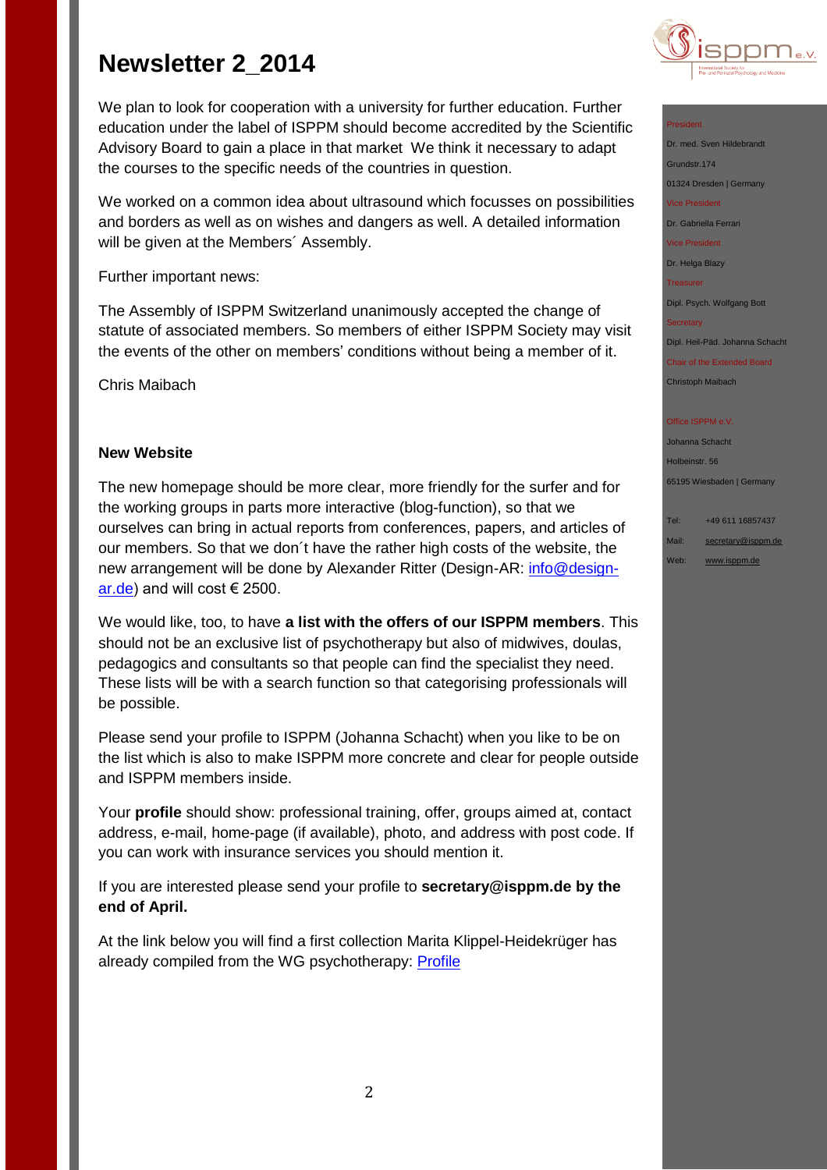We plan to look for cooperation with a university for further education. Further education under the label of ISPPM should become accredited by the Scientific Advisory Board to gain a place in that market We think it necessary to adapt the courses to the specific needs of the countries in question.

We worked on a common idea about ultrasound which focusses on possibilities and borders as well as on wishes and dangers as well. A detailed information will be given at the Members´ Assembly.

Further important news:

The Assembly of ISPPM Switzerland unanimously accepted the change of statute of associated members. So members of either ISPPM Society may visit the events of the other on members' conditions without being a member of it.

Chris Maibach

## **New Website**

The new homepage should be more clear, more friendly for the surfer and for the working groups in parts more interactive (blog-function), so that we ourselves can bring in actual reports from conferences, papers, and articles of our members. So that we don´t have the rather high costs of the website, the new arrangement will be done by Alexander Ritter (Design-AR: [info@design](mailto:info@design-ar.de)[ar.de\)](mailto:info@design-ar.de) and will cost  $\in$  2500.

We would like, too, to have **a list with the offers of our ISPPM members**. This should not be an exclusive list of psychotherapy but also of midwives, doulas, pedagogics and consultants so that people can find the specialist they need. These lists will be with a search function so that categorising professionals will be possible.

Please send your profile to ISPPM (Johanna Schacht) when you like to be on the list which is also to make ISPPM more concrete and clear for people outside and ISPPM members inside.

Your **profile** should show: professional training, offer, groups aimed at, contact address, e-mail, home-page (if available), photo, and address with post code. If you can work with insurance services you should mention it.

If you are interested please send your profile to **secretary@isppm.de by the end of April.**

At the link below you will find a first collection Marita Klippel-Heidekrüger has already compiled from the WG psychotherapy: **Profile** 



### President

Dr. med. Sven Hildebrandt Grundstr.174 01324 Dresden | Germany Vice President Dr. Gabriella Ferrari Vice President

Dr. Helga Blazy

Dipl. Psych. Wolfgang Bott

#### **Secretary**

Treasurer

Dipl. Heil-Päd. Johanna Schacht

Chair of the Extended Board Christoph Maibach

#### Office ISPPM e.V

Johanna Schacht Holbeinstr. 56 65195 Wiesbaden | Germany

## Tel: +49 611 16857437

Mail: [secretary@isppm.de](mailto:secretary@isppm.de) Web: [www.isppm.de](http://www.isppm.de/)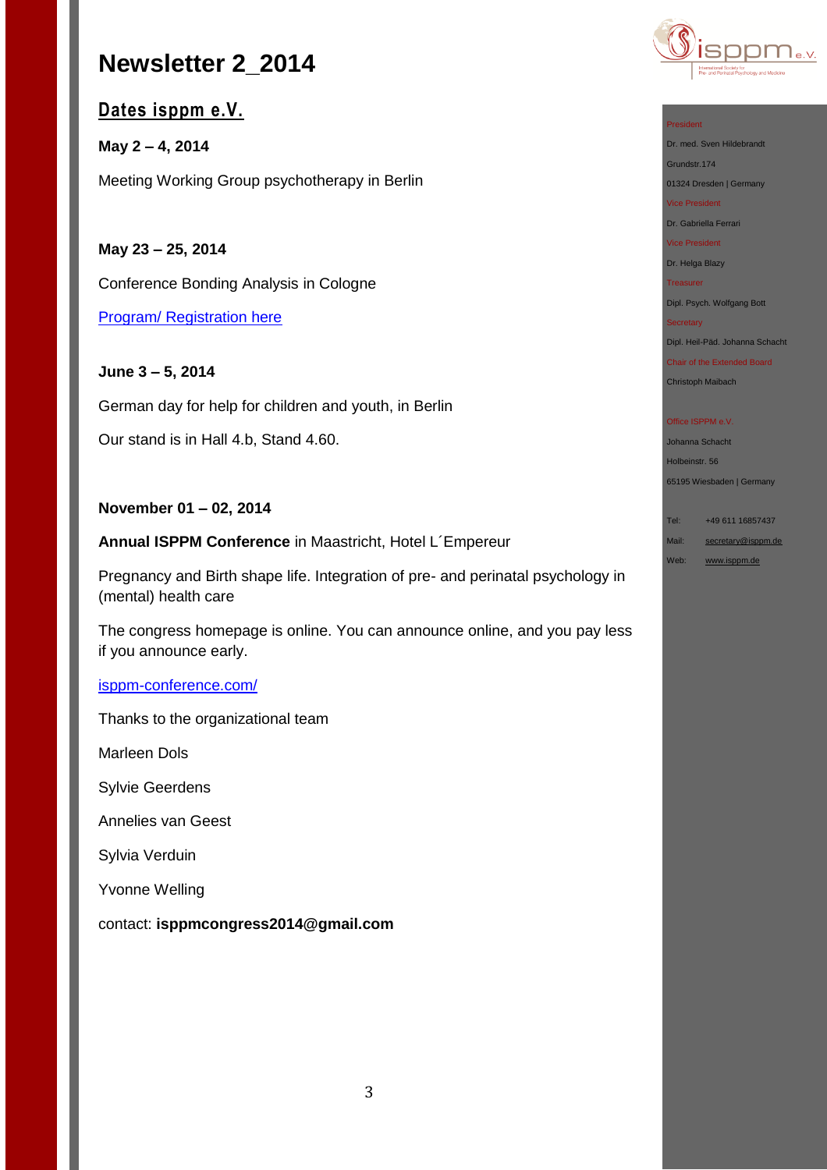## **Dates isppm e.V.**

**May 2 – 4, 2014**  Meeting Working Group psychotherapy in Berlin

**May 23 – 25, 2014**

Conference Bonding Analysis in Cologne

[Program/ Registration here](http://www.isppm.de/Programm_BA_2014.pdf)

**June 3 – 5, 2014**

German day for help for children and youth, in Berlin Our stand is in Hall 4.b, Stand 4.60.

## **November 01 – 02, 2014**

**Annual ISPPM Conference** in Maastricht, Hotel L´Empereur

Pregnancy and Birth shape life. Integration of pre- and perinatal psychology in (mental) health care

The congress homepage is online. You can announce online, and you pay less if you announce early.

## [isppm-conference.com/](http://isppm-conference.com/)

Thanks to the organizational team

Marleen Dols

Sylvie Geerdens

Annelies van Geest

Sylvia Verduin

Yvonne Welling

contact: **isppmcongress2014@gmail.com**



### President

Dr. med. Sven Hildebrandt Grundstr.174

01324 Dresden | Germany Vice President

Dr. Gabriella Ferrari

Vice President

Dr. Helga Blazy

Treasurer Dipl. Psych. Wolfgang Bott

#### Secretary

Dipl. Heil-Päd. Johanna Schacht

Chair of the Extended Board Christoph Maibach

#### Office ISPPM e.V.

Johanna Schacht Holbeinstr. 56 65195 Wiesbaden | Germany

Tel: +49 611 16857437

Mail: [secretary@isppm.de](mailto:secretary@isppm.de)

Web: [www.isppm.de](http://www.isppm.de/)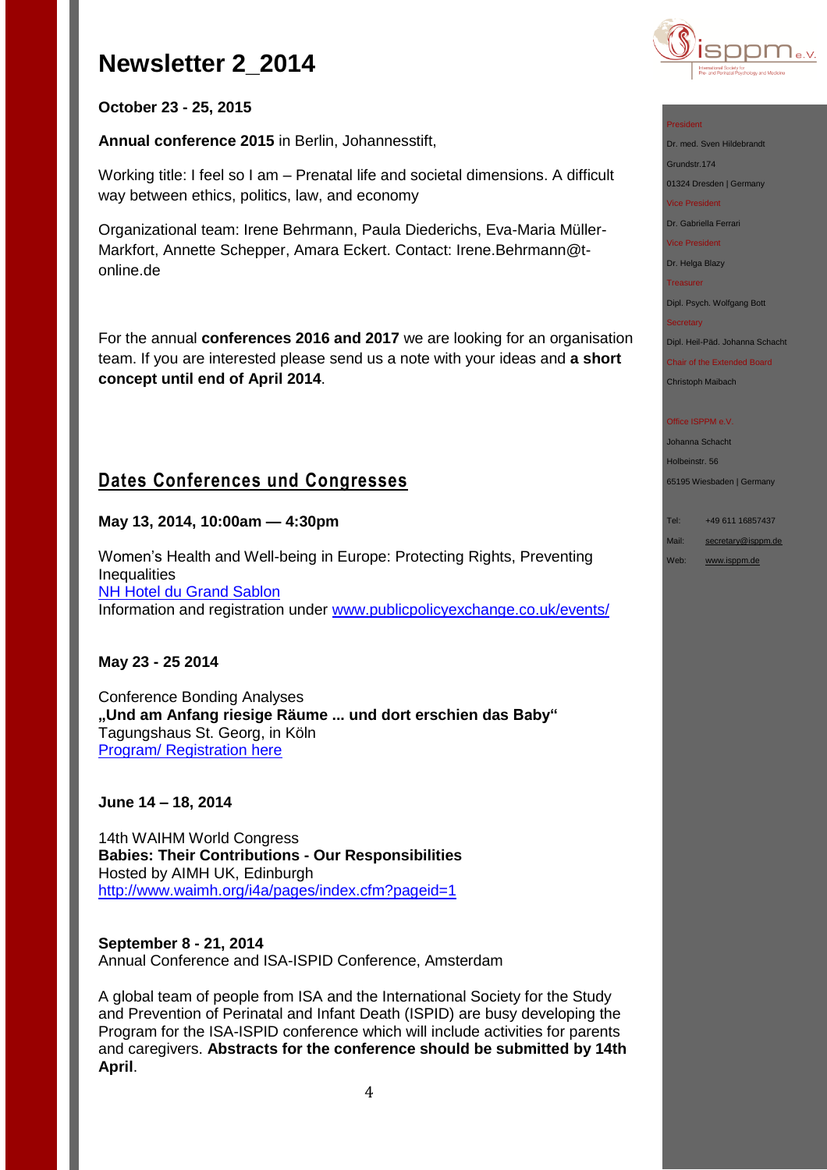

President

Grundstr.174

Vice President Dr. Gabriella Ferrari Vice President Dr. Helga Blazy Treasurer

**Secretary** 

Office ISPPM e.V Johanna Schacht Holbeinstr. 56

65195 Wiesbaden | Germany

Tel: +49 611 16857437 Mail: [secretary@isppm.de](mailto:secretary@isppm.de) Web: [www.isppm.de](http://www.isppm.de/)

Dr. med. Sven Hildebrandt

01324 Dresden | Germany

Dipl. Psych. Wolfgang Bott

Dipl. Heil-Päd. Johanna Schacht Chair of the Extended Board Christoph Maibach

## **October 23 - 25, 2015**

**Annual conference 2015** in Berlin, Johannesstift,

Working title: I feel so I am – Prenatal life and societal dimensions. A difficult way between ethics, politics, law, and economy

Organizational team: Irene Behrmann, Paula Diederichs, Eva-Maria Müller-Markfort, Annette Schepper, Amara Eckert. Contact: Irene.Behrmann@tonline.de

For the annual **conferences 2016 and 2017** we are looking for an organisation team. If you are interested please send us a note with your ideas and **a short concept until end of April 2014**.

## **Dates Conferences und Congresses**

### **May 13, 2014, 10:00am — 4:30pm**

Women's Health and Well-being in Europe: Protecting Rights, Preventing **Inequalities** [NH Hotel du Grand Sablon](http://www.publicpolicyexchange.co.uk/venues/nh-hotel-grand-sablon.php) Information and registration under [www.publicpolicyexchange.co.uk/events/](http://www.publicpolicyexchange.co.uk/events/EE13-PPE2.php)

## **May 23 - 25 2014**

Conference Bonding Analyses **"Und am Anfang riesige Räume ... und dort erschien das Baby"** Tagungshaus St. Georg, in Köln [Program/ Registration](http://www.isppm.de/Programm_BA_2014.pdf) here

### **June 14 – 18, 2014**

14th WAIHM World Congress **Babies: Their Contributions - Our Responsibilities** Hosted by AIMH UK, Edinburgh <http://www.waimh.org/i4a/pages/index.cfm?pageid=1>

**September 8 - 21, 2014** Annual Conference and ISA-ISPID Conference, Amsterdam

A global team of people from ISA and the International Society for the Study and Prevention of Perinatal and Infant Death (ISPID) are busy developing the Program for the ISA-ISPID conference which will include activities for parents and caregivers. **Abstracts for the conference should be submitted by 14th April**.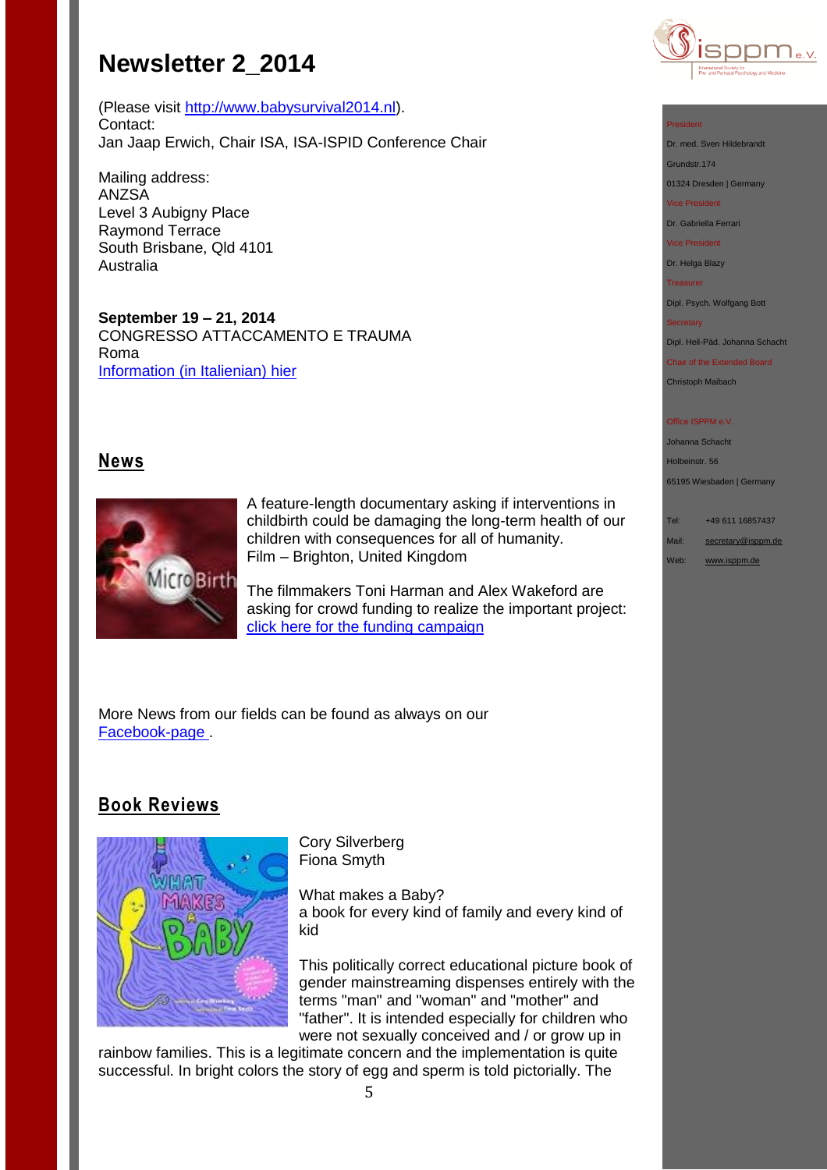(Please visit [http://www.babysurvival2014.nl\)](http://www.babysurvival2014.nl/). Contact: Jan Jaap Erwich, Chair ISA, ISA-ISPID Conference Chair

Mailing address: ANZSA Level 3 Aubigny Place Raymond Terrace South Brisbane, Qld 4101 Australia

**September 19 – 21, 2014** CONGRESSO ATTACCAMENTO E TRAUMA Roma Information [\(in Italienian\) hier](http://www.istitutodiscienzecognitive.com/1/upload/1_brochure_congresso_trauma.pdf)

## **News**



A feature-length documentary asking if interventions in childbirth could be damaging the long-term health of our children with consequences for all of humanity. Film – Brighton, United Kingdom

The filmmakers Toni Harman and Alex Wakeford are asking for crowd funding to realize the important project: [click here for the funding campaign](http://www.indiegogo.com/projects/microbirth)

More News from our fields can be found as always on our [Facebook-page .](http://de-de.facebook.com/pages/ISPPM-eV/124066644364106)

## **Book Reviews**



Cory Silverberg Fiona Smyth

What makes a Baby? a book for every kind of family and every kind of kid

This politically correct educational picture book of gender mainstreaming dispenses entirely with the terms "man" and "woman" and "mother" and "father". It is intended especially for children who were not sexually conceived and / or grow up in

rainbow families. This is a legitimate concern and the implementation is quite successful. In bright colors the story of egg and sperm is told pictorially. The



#### President

Dr. med. Sven Hildebrandt

Grundstr.174 01324 Dresden | Germany

Vice President

Dr. Gabriella Ferrari

Vice President

Dr. Helga Blazy

Treasurer

Dipl. Psych. Wolfgang Bott

#### **Secretary**

Dipl. Heil-Päd. Johanna Schacht

Chair of the Extended Board Christoph Maibach

#### Office ISPPM e.V

Johanna Schacht Holbeinstr. 56 65195 Wiesbaden | Germany

Tel: +49 611 16857437

Mail: [secretary@isppm.de](mailto:secretary@isppm.de)

Web: [www.isppm.de](http://www.isppm.de/)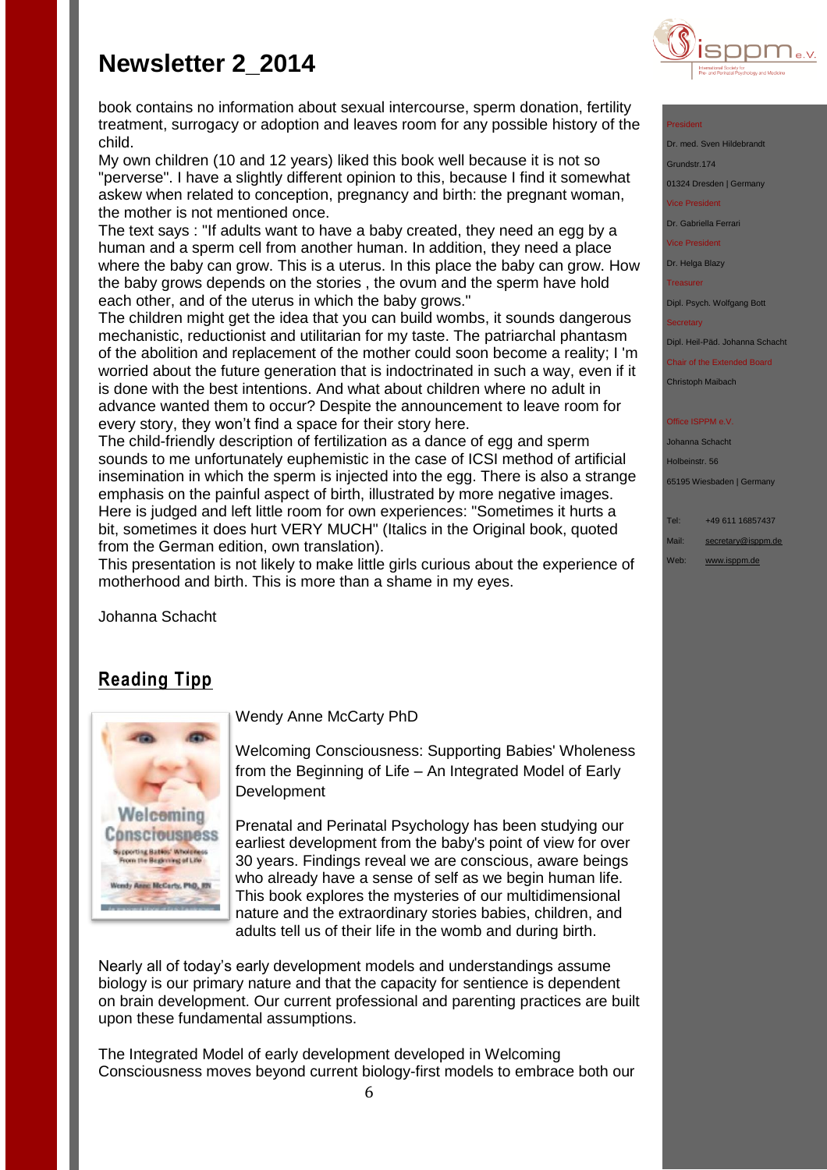

#### President

Dr. med. Sven Hildebrand

Grundstr.174

01324 Dresden | Germany

Vice President

Dr. Gabriella Ferrari

Vice President

Dr. Helga Blazy

Treasurer

Dipl. Psych. Wolfgang Bott

Dipl. Heil-Päd. Johanna Schacht

Chair of the Extended Board Christoph Maibach

ffice ISPPM e.V

Johanna Schacht

Holbeinstr. 56

65195 Wiesbaden | Germany

Tel: +49 611 16857437

Mail: [secretary@isppm.de](mailto:secretary@isppm.de)

Web: [www.isppm.de](http://www.isppm.de/)

book contains no information about sexual intercourse, sperm donation, fertility treatment, surrogacy or adoption and leaves room for any possible history of the child.

My own children (10 and 12 years) liked this book well because it is not so "perverse". I have a slightly different opinion to this, because I find it somewhat askew when related to conception, pregnancy and birth: the pregnant woman, the mother is not mentioned once.

The text says : "If adults want to have a baby created, they need an egg by a human and a sperm cell from another human. In addition, they need a place where the baby can grow. This is a uterus. In this place the baby can grow. How the baby grows depends on the stories , the ovum and the sperm have hold each other, and of the uterus in which the baby grows."

The children might get the idea that you can build wombs, it sounds dangerous mechanistic, reductionist and utilitarian for my taste. The patriarchal phantasm of the abolition and replacement of the mother could soon become a reality; I 'm worried about the future generation that is indoctrinated in such a way, even if it is done with the best intentions. And what about children where no adult in advance wanted them to occur? Despite the announcement to leave room for every story, they won't find a space for their story here.

The child-friendly description of fertilization as a dance of egg and sperm sounds to me unfortunately euphemistic in the case of ICSI method of artificial insemination in which the sperm is injected into the egg. There is also a strange emphasis on the painful aspect of birth, illustrated by more negative images. Here is judged and left little room for own experiences: "Sometimes it hurts a bit, sometimes it does hurt VERY MUCH" (Italics in the Original book, quoted from the German edition, own translation).

This presentation is not likely to make little girls curious about the experience of motherhood and birth. This is more than a shame in my eyes.

Johanna Schacht

## **Reading Tipp**



Wendy Anne McCarty PhD

Welcoming Consciousness: Supporting Babies' Wholeness from the Beginning of Life – An Integrated Model of Early Development

Prenatal and Perinatal Psychology has been studying our earliest development from the baby's point of view for over 30 years. Findings reveal we are conscious, aware beings who already have a sense of self as we begin human life. This book explores the mysteries of our multidimensional nature and the extraordinary stories babies, children, and adults tell us of their life in the womb and during birth.

Nearly all of today's early development models and understandings assume biology is our primary nature and that the capacity for sentience is dependent on brain development. Our current professional and parenting practices are built upon these fundamental assumptions.

The Integrated Model of early development developed in Welcoming Consciousness moves beyond current biology-first models to embrace both our